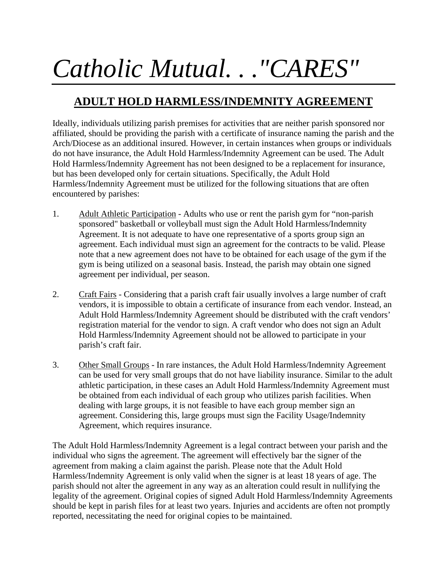## *Catholic Mutual. . ."CARES"*

## **ADULT HOLD HARMLESS/INDEMNITY AGREEMENT**

Ideally, individuals utilizing parish premises for activities that are neither parish sponsored nor affiliated, should be providing the parish with a certificate of insurance naming the parish and the Arch/Diocese as an additional insured. However, in certain instances when groups or individuals do not have insurance, the Adult Hold Harmless/Indemnity Agreement can be used. The Adult Hold Harmless/Indemnity Agreement has not been designed to be a replacement for insurance, but has been developed only for certain situations. Specifically, the Adult Hold Harmless/Indemnity Agreement must be utilized for the following situations that are often encountered by parishes:

- 1. Adult Athletic Participation Adults who use or rent the parish gym for "non-parish sponsored" basketball or volleyball must sign the Adult Hold Harmless/Indemnity Agreement. It is not adequate to have one representative of a sports group sign an agreement. Each individual must sign an agreement for the contracts to be valid. Please note that a new agreement does not have to be obtained for each usage of the gym if the gym is being utilized on a seasonal basis. Instead, the parish may obtain one signed agreement per individual, per season.
- 2. Craft Fairs Considering that a parish craft fair usually involves a large number of craft vendors, it is impossible to obtain a certificate of insurance from each vendor. Instead, an Adult Hold Harmless/Indemnity Agreement should be distributed with the craft vendors' registration material for the vendor to sign. A craft vendor who does not sign an Adult Hold Harmless/Indemnity Agreement should not be allowed to participate in your parish's craft fair.
- 3. Other Small Groups In rare instances, the Adult Hold Harmless/Indemnity Agreement can be used for very small groups that do not have liability insurance. Similar to the adult athletic participation, in these cases an Adult Hold Harmless/Indemnity Agreement must be obtained from each individual of each group who utilizes parish facilities. When dealing with large groups, it is not feasible to have each group member sign an agreement. Considering this, large groups must sign the Facility Usage/Indemnity Agreement, which requires insurance.

The Adult Hold Harmless/Indemnity Agreement is a legal contract between your parish and the individual who signs the agreement. The agreement will effectively bar the signer of the agreement from making a claim against the parish. Please note that the Adult Hold Harmless/Indemnity Agreement is only valid when the signer is at least 18 years of age. The parish should not alter the agreement in any way as an alteration could result in nullifying the legality of the agreement. Original copies of signed Adult Hold Harmless/Indemnity Agreements should be kept in parish files for at least two years. Injuries and accidents are often not promptly reported, necessitating the need for original copies to be maintained.